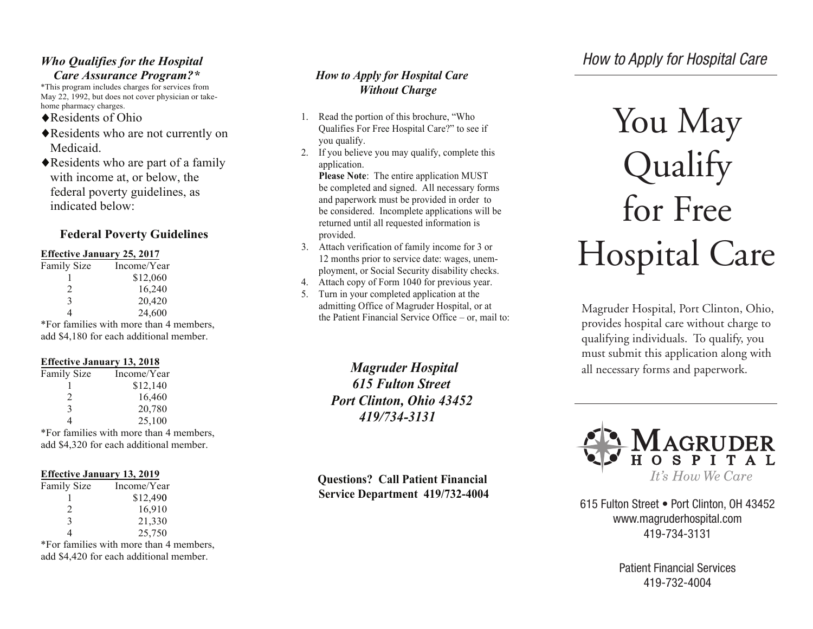### *Who Qualifies for the Hospital Care Assurance Program?\**

\*This program includes charges for services from May 22, 1992, but does not cover physician or takehome pharmacy charges.

- ◆ Residents of Ohio
- Residents who are not currently on Medicaid.
- Residents who are part of a family with income at, or below, the federal poverty guidelines, as indicated below:

## **Federal Poverty Guidelines**

#### **Effective January 25, 2017**

| <b>Family Size</b> | Income/Year                                |
|--------------------|--------------------------------------------|
|                    | \$12,060                                   |
| 2                  | 16,240                                     |
| 3                  | 20,420                                     |
|                    | 24,600                                     |
|                    | $*For$ familias with more than $\Lambda$ m |

\*For families with more than 4 members, add \$4,180 for each additional member.

#### **Effective January 13, 2018**

| Family Size   | Income/Year |
|---------------|-------------|
|               | \$12,140    |
| $\mathcal{L}$ | 16,460      |
| $\mathbf{3}$  | 20,780      |
| 4             | 25,100      |

\*For families with more than 4 members, add \$4,320 for each additional member.

#### **Effective January 13, 2019**

| <b>Family Size</b>          | Income/Year |
|-----------------------------|-------------|
|                             | \$12,490    |
| $\mathcal{D}_{\mathcal{L}}$ | 16,910      |
| $\mathbf{3}$                | 21,330      |
| 4                           | 25,750      |

\*For families with more than 4 members, add \$4,420 for each additional member.

## *How to Apply for Hospital Care Without Charge*

- 1. Read the portion of this brochure, "Who Qualifies For Free Hospital Care?" to see if you qualify.
- 2. If you believe you may qualify, complete this application.

**Please Note**: The entire application MUST be completed and signed. All necessary forms and paperwork must be provided in order to be considered. Incomplete applications will be returned until all requested information is provided.

- 3. Attach verification of family income for 3 or 12 months prior to service date: wages, unemployment, or Social Security disability checks.
- 4. Attach copy of Form 1040 for previous year.
- 5. Turn in your completed application at the admitting Office of Magruder Hospital, or at the Patient Financial Service Office – or, mail to:

*Magruder Hospital 615 Fulton Street Port Clinton, Ohio 43452 419/734-3131*

**Questions? Call Patient Financial Service Department 419/732-4004** 

# You May Qualify for Free Hospital Care

Magruder Hospital, Port Clinton, Ohio, provides hospital care without charge to qualifying individuals. To qualify, you must submit this application along with all necessary forms and paperwork.



615 Fulton Street • Port Clinton, OH 43452 www.magruderhospital.com 419-734-3131

> Patient Financial Services 419-732-4004